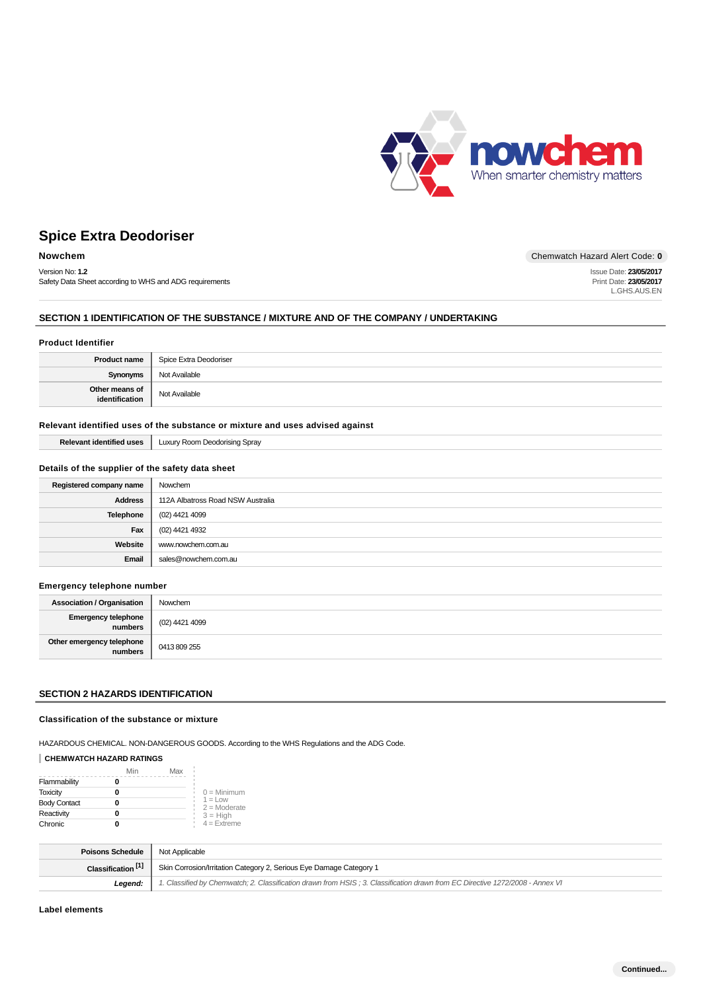

Issue Date: **23/05/2017** Print Date: **23/05/2017** L.GHS.AUS.EN

# **Spice Extra Deodoriser**

### **Nowchem** Chemwatch Hazard Alert Code: 0

Version No: **1.2** Safety Data Sheet according to WHS and ADG requirements

### **SECTION 1 IDENTIFICATION OF THE SUBSTANCE / MIXTURE AND OF THE COMPANY / UNDERTAKING**

#### **Product Identifier**

| <b>Product name</b>              | Spice Extra Deodoriser |
|----------------------------------|------------------------|
| <b>Synonyms</b>                  | Not Available          |
| Other means of<br>identification | Not Available          |

### **Relevant identified uses of the substance or mixture and uses advised against**

| <b>Relevant identified uses</b> | Luxury Room Deodorising Spray |
|---------------------------------|-------------------------------|
|---------------------------------|-------------------------------|

### **Details of the supplier of the safety data sheet**

| Registered company name | Nowchem                           |
|-------------------------|-----------------------------------|
| <b>Address</b>          | 112A Albatross Road NSW Australia |
| Telephone               | (02) 4421 4099                    |
| Fax                     | (02) 4421 4932                    |
| Website                 | www.nowchem.com.au                |
| Email                   | sales@nowchem.com.au              |

## **Emergency telephone number**

| <b>Association / Organisation</b>    | Nowchem        |
|--------------------------------------|----------------|
| Emergency telephone<br>  numbers     | (02) 4421 4099 |
| Other emergency telephone<br>numbers | 0413809255     |

## **SECTION 2 HAZARDS IDENTIFICATION**

#### **Classification of the substance or mixture**

HAZARDOUS CHEMICAL. NON-DANGEROUS GOODS. According to the WHS Regulations and the ADG Code.

## **CHEMWATCH HAZARD RATINGS**

|                     | Min | Max |                             |
|---------------------|-----|-----|-----------------------------|
| Flammability        |     |     |                             |
| <b>Toxicity</b>     |     |     | $0 =$ Minimum               |
| <b>Body Contact</b> |     |     | $1 = Low$<br>$2 =$ Moderate |
| Reactivity          |     |     | $3 = High$                  |
| Chronic             |     |     | $4$ = Extreme               |

| <b>Poisons Schedule</b>       | Not Applicable                                                                                                                |
|-------------------------------|-------------------------------------------------------------------------------------------------------------------------------|
| Classification <sup>[1]</sup> | Skin Corrosion/Irritation Category 2, Serious Eye Damage Category 1                                                           |
| Leaend:                       | 1. Classified by Chemwatch; 2. Classification drawn from HSIS; 3. Classification drawn from EC Directive 1272/2008 - Annex VI |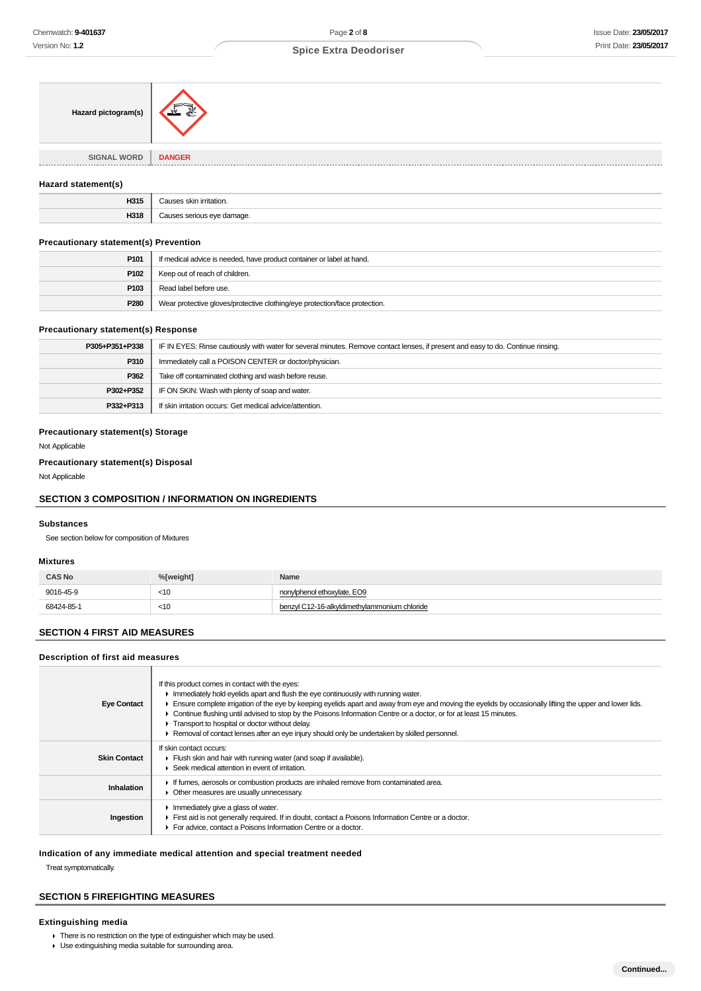| Hazard pictogram(s)                  | 系,            |
|--------------------------------------|---------------|
|                                      |               |
| <b>SIGNAL WORD</b><br>-------------- | <b>DANGER</b> |

#### **Hazard statement(s)**

| JO4.<br>$\sim$ $\sim$ | $\sim$<br>ition |
|-----------------------|-----------------|
| 1946<br>JK            |                 |

## **Precautionary statement(s) Prevention**

| P <sub>101</sub> | If medical advice is needed, have product container or label at hand.      |
|------------------|----------------------------------------------------------------------------|
| P102             | Keep out of reach of children.                                             |
| P103             | Read label before use.                                                     |
| P280             | Wear protective gloves/protective clothing/eye protection/face protection. |

#### **Precautionary statement(s) Response**

| P305+P351+P338 | IF IN EYES: Rinse cautiously with water for several minutes. Remove contact lenses, if present and easy to do. Continue rinsing. |
|----------------|----------------------------------------------------------------------------------------------------------------------------------|
| P310           | Immediately call a POISON CENTER or doctor/physician.                                                                            |
| P362           | Take off contaminated clothing and wash before reuse.                                                                            |
| P302+P352      | IF ON SKIN: Wash with plenty of soap and water.                                                                                  |
| P332+P313      | If skin irritation occurs: Get medical advice/attention.                                                                         |

#### **Precautionary statement(s) Storage**

Not Applicable

#### **Precautionary statement(s) Disposal**

Not Applicable

## **SECTION 3 COMPOSITION / INFORMATION ON INGREDIENTS**

#### **Substances**

See section below for composition of Mixtures

#### **Mixtures**

| <b>CAS No</b> | %ľweiaht1 | Name                                         |
|---------------|-----------|----------------------------------------------|
| 9016-45-9     | $<$ 10    | nonylphenol ethoxylate, EO9                  |
| 68424-85-1    | $<$ 10    | benzyl C12-16-alkyldimethylammonium chloride |

## **SECTION 4 FIRST AID MEASURES**

#### **Description of first aid measures**

| <b>Eye Contact</b>  | If this product comes in contact with the eyes:<br>Immediately hold eyelids apart and flush the eye continuously with running water.<br>Ensure complete irrigation of the eye by keeping eyelids apart and away from eye and moving the eyelids by occasionally lifting the upper and lower lids.<br>Continue flushing until advised to stop by the Poisons Information Centre or a doctor, or for at least 15 minutes.<br>Transport to hospital or doctor without delay.<br>Removal of contact lenses after an eye injury should only be undertaken by skilled personnel. |
|---------------------|----------------------------------------------------------------------------------------------------------------------------------------------------------------------------------------------------------------------------------------------------------------------------------------------------------------------------------------------------------------------------------------------------------------------------------------------------------------------------------------------------------------------------------------------------------------------------|
| <b>Skin Contact</b> | If skin contact occurs:<br>Flush skin and hair with running water (and soap if available).<br>Seek medical attention in event of irritation.                                                                                                                                                                                                                                                                                                                                                                                                                               |
| Inhalation          | If fumes, aerosols or combustion products are inhaled remove from contaminated area.<br>• Other measures are usually unnecessary.                                                                                                                                                                                                                                                                                                                                                                                                                                          |
| Ingestion           | Immediately give a glass of water.<br>First aid is not generally required. If in doubt, contact a Poisons Information Centre or a doctor.<br>For advice, contact a Poisons Information Centre or a doctor.                                                                                                                                                                                                                                                                                                                                                                 |

## **Indication of any immediate medical attention and special treatment needed**

Treat symptomatically.

## **SECTION 5 FIREFIGHTING MEASURES**

### **Extinguishing media**

- There is no restriction on the type of extinguisher which may be used.
- Use extinguishing media suitable for surrounding area.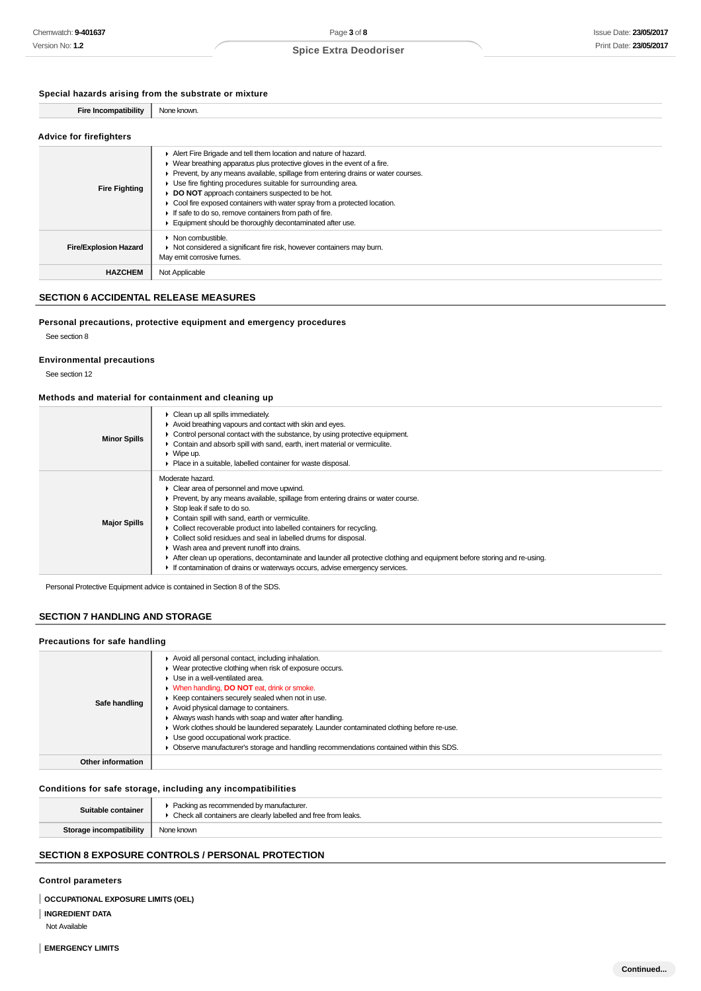### **Special hazards arising from the substrate or mixture**

| <b>Fire Incompatibility</b>    | None known. |
|--------------------------------|-------------|
|                                |             |
| <b>Advice for firefighters</b> |             |

| <b>Fire Fighting</b>         | Alert Fire Brigade and tell them location and nature of hazard.<br>$\blacktriangleright$ Wear breathing apparatus plus protective gloves in the event of a fire.<br>Prevent, by any means available, spillage from entering drains or water courses.<br>Use fire fighting procedures suitable for surrounding area.<br>DO NOT approach containers suspected to be hot.<br>• Cool fire exposed containers with water spray from a protected location.<br>If safe to do so, remove containers from path of fire.<br>Equipment should be thoroughly decontaminated after use. |
|------------------------------|----------------------------------------------------------------------------------------------------------------------------------------------------------------------------------------------------------------------------------------------------------------------------------------------------------------------------------------------------------------------------------------------------------------------------------------------------------------------------------------------------------------------------------------------------------------------------|
| <b>Fire/Explosion Hazard</b> | $\triangleright$ Non combustible.<br>▶ Not considered a significant fire risk, however containers may burn.<br>May emit corrosive fumes.                                                                                                                                                                                                                                                                                                                                                                                                                                   |
| <b>HAZCHEM</b>               | Not Applicable                                                                                                                                                                                                                                                                                                                                                                                                                                                                                                                                                             |

### **SECTION 6 ACCIDENTAL RELEASE MEASURES**

#### **Personal precautions, protective equipment and emergency procedures**

See section 8

#### **Environmental precautions**

See section 12

### **Methods and material for containment and cleaning up**

| <b>Minor Spills</b> | Clean up all spills immediately.<br>Avoid breathing vapours and contact with skin and eyes.<br>Control personal contact with the substance, by using protective equipment.<br>Contain and absorb spill with sand, earth, inert material or vermiculite.<br>$\triangleright$ Wipe up.<br>• Place in a suitable, labelled container for waste disposal.                                                                                                                                                                                                                                                                                                   |
|---------------------|---------------------------------------------------------------------------------------------------------------------------------------------------------------------------------------------------------------------------------------------------------------------------------------------------------------------------------------------------------------------------------------------------------------------------------------------------------------------------------------------------------------------------------------------------------------------------------------------------------------------------------------------------------|
| <b>Major Spills</b> | Moderate hazard.<br>$\triangleright$ Clear area of personnel and move upwind.<br>• Prevent, by any means available, spillage from entering drains or water course.<br>Stop leak if safe to do so.<br>• Contain spill with sand, earth or vermiculite.<br>Collect recoverable product into labelled containers for recycling.<br>Collect solid residues and seal in labelled drums for disposal.<br>▶ Wash area and prevent runoff into drains.<br>After clean up operations, decontaminate and launder all protective clothing and equipment before storing and re-using.<br>If contamination of drains or waterways occurs, advise emergency services. |

Personal Protective Equipment advice is contained in Section 8 of the SDS.

### **SECTION 7 HANDLING AND STORAGE**

### **Precautions for safe handling**

| Safe handling     | Avoid all personal contact, including inhalation.<br>▶ Wear protective clothing when risk of exposure occurs.<br>$\blacktriangleright$ Use in a well-ventilated area.<br>• When handling, <b>DO NOT</b> eat, drink or smoke.<br>▶ Keep containers securely sealed when not in use.<br>Avoid physical damage to containers.<br>Always wash hands with soap and water after handling.<br>► Work clothes should be laundered separately. Launder contaminated clothing before re-use.<br>• Use good occupational work practice.<br>• Observe manufacturer's storage and handling recommendations contained within this SDS. |
|-------------------|--------------------------------------------------------------------------------------------------------------------------------------------------------------------------------------------------------------------------------------------------------------------------------------------------------------------------------------------------------------------------------------------------------------------------------------------------------------------------------------------------------------------------------------------------------------------------------------------------------------------------|
| Other information |                                                                                                                                                                                                                                                                                                                                                                                                                                                                                                                                                                                                                          |

### **Conditions for safe storage, including any incompatibilities**

| Suitable container      | ▶ Packing as recommended by manufacturer.<br>• Check all containers are clearly labelled and free from leaks. |
|-------------------------|---------------------------------------------------------------------------------------------------------------|
| Storage incompatibility | None known                                                                                                    |
|                         |                                                                                                               |

## **SECTION 8 EXPOSURE CONTROLS / PERSONAL PROTECTION**

## **Control parameters**

## **OCCUPATIONAL EXPOSURE LIMITS (OEL)**

**INGREDIENT DATA**

Not Available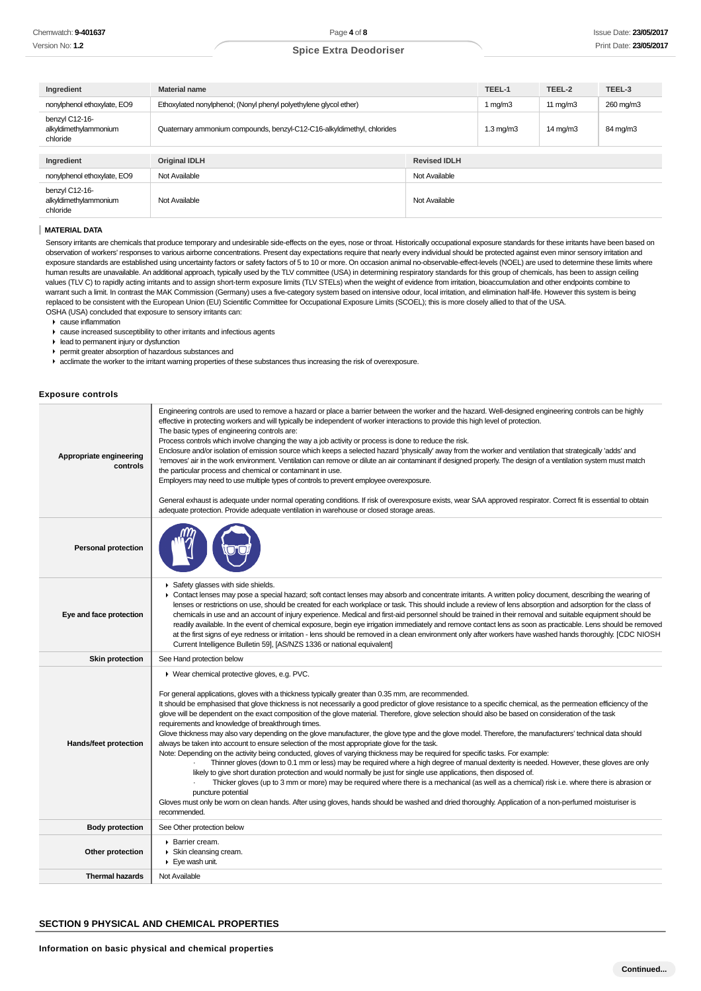| Ingredient                                          | <b>Material name</b>                                                   |                     | TEEL-1             | TEEL-2            | TEEL-3    |
|-----------------------------------------------------|------------------------------------------------------------------------|---------------------|--------------------|-------------------|-----------|
| nonylphenol ethoxylate, EO9                         | Ethoxylated nonylphenol; (Nonyl phenyl polyethylene glycol ether)      |                     | 1 $mq/m3$          | 11 $mq/m3$        | 260 mg/m3 |
| benzyl C12-16-<br>alkyldimethylammonium<br>chloride | Quaternary ammonium compounds, benzyl-C12-C16-alkyldimethyl, chlorides |                     | $1.3 \text{ mg/m}$ | $14 \text{ mg/m}$ | 84 mg/m3  |
| Ingredient                                          | <b>Original IDLH</b>                                                   | <b>Revised IDLH</b> |                    |                   |           |
| nonylphenol ethoxylate, EO9                         | Not Available<br>Not Available                                         |                     |                    |                   |           |
| benzyl C12-16-<br>alkyldimethylammonium<br>chloride | Not Available                                                          | Not Available       |                    |                   |           |

#### **MATERIAL DATA**

Sensory irritants are chemicals that produce temporary and undesirable side-effects on the eyes, nose or throat. Historically occupational exposure standards for these irritants have been based on observation of workers' responses to various airborne concentrations. Present day expectations require that nearly every individual should be protected against even minor sensory irritation and exposure standards are established using uncertainty factors or safety factors of 5 to 10 or more. On occasion animal no-observable-effect-levels (NOEL) are used to determine these limits where human results are unavailable. An additional approach, typically used by the TLV committee (USA) in determining respiratory standards for this group of chemicals, has been to assign ceiling values (TLV C) to rapidly acting irritants and to assign short-term exposure limits (TLV STELs) when the weight of evidence from irritation, bioaccumulation and other endpoints combine to warrant such a limit. In contrast the MAK Commission (Germany) uses a five-category system based on intensive odour, local irritation, and elimination half-life. However this system is being replaced to be consistent with the European Union (EU) Scientific Committee for Occupational Exposure Limits (SCOEL); this is more closely allied to that of the USA. OSHA (USA) concluded that exposure to sensory irritants can:

cause inflammation

- cause increased susceptibility to other irritants and infectious agents
- lead to permanent injury or dysfunction
- permit greater absorption of hazardous substances and
- $\blacktriangleright$  acclimate the worker to the irritant warning properties of these substances thus increasing the risk of overexposure.

#### **Exposure controls**

| Appropriate engineering<br>controls | Engineering controls are used to remove a hazard or place a barrier between the worker and the hazard. Well-designed engineering controls can be highly<br>effective in protecting workers and will typically be independent of worker interactions to provide this high level of protection.<br>The basic types of engineering controls are:<br>Process controls which involve changing the way a job activity or process is done to reduce the risk.<br>Enclosure and/or isolation of emission source which keeps a selected hazard 'physically' away from the worker and ventilation that strategically 'adds' and<br>'removes' air in the work environment. Ventilation can remove or dilute an air contaminant if designed properly. The design of a ventilation system must match<br>the particular process and chemical or contaminant in use.<br>Employers may need to use multiple types of controls to prevent employee overexposure.<br>General exhaust is adequate under normal operating conditions. If risk of overexposure exists, wear SAA approved respirator. Correct fit is essential to obtain<br>adequate protection. Provide adequate ventilation in warehouse or closed storage areas.                                                                                                                                                                                                                                                                                                                                        |
|-------------------------------------|------------------------------------------------------------------------------------------------------------------------------------------------------------------------------------------------------------------------------------------------------------------------------------------------------------------------------------------------------------------------------------------------------------------------------------------------------------------------------------------------------------------------------------------------------------------------------------------------------------------------------------------------------------------------------------------------------------------------------------------------------------------------------------------------------------------------------------------------------------------------------------------------------------------------------------------------------------------------------------------------------------------------------------------------------------------------------------------------------------------------------------------------------------------------------------------------------------------------------------------------------------------------------------------------------------------------------------------------------------------------------------------------------------------------------------------------------------------------------------------------------------------------------------------------------|
| <b>Personal protection</b>          |                                                                                                                                                                                                                                                                                                                                                                                                                                                                                                                                                                                                                                                                                                                                                                                                                                                                                                                                                                                                                                                                                                                                                                                                                                                                                                                                                                                                                                                                                                                                                      |
| Eye and face protection             | Safety glasses with side shields.<br>► Contact lenses may pose a special hazard; soft contact lenses may absorb and concentrate irritants. A written policy document, describing the wearing of<br>lenses or restrictions on use, should be created for each workplace or task. This should include a review of lens absorption and adsorption for the class of<br>chemicals in use and an account of injury experience. Medical and first-aid personnel should be trained in their removal and suitable equipment should be<br>readily available. In the event of chemical exposure, begin eye irrigation immediately and remove contact lens as soon as practicable. Lens should be removed<br>at the first signs of eye redness or irritation - lens should be removed in a clean environment only after workers have washed hands thoroughly. [CDC NIOSH<br>Current Intelligence Bulletin 59], [AS/NZS 1336 or national equivalent]                                                                                                                                                                                                                                                                                                                                                                                                                                                                                                                                                                                                              |
| <b>Skin protection</b>              | See Hand protection below                                                                                                                                                                                                                                                                                                                                                                                                                                                                                                                                                                                                                                                                                                                                                                                                                                                                                                                                                                                                                                                                                                                                                                                                                                                                                                                                                                                                                                                                                                                            |
| Hands/feet protection               | ▶ Wear chemical protective gloves, e.g. PVC.<br>For general applications, gloves with a thickness typically greater than 0.35 mm, are recommended.<br>It should be emphasised that glove thickness is not necessarily a good predictor of glove resistance to a specific chemical, as the permeation efficiency of the<br>glove will be dependent on the exact composition of the glove material. Therefore, glove selection should also be based on consideration of the task<br>requirements and knowledge of breakthrough times.<br>Glove thickness may also vary depending on the glove manufacturer, the glove type and the glove model. Therefore, the manufacturers' technical data should<br>always be taken into account to ensure selection of the most appropriate glove for the task.<br>Note: Depending on the activity being conducted, gloves of varying thickness may be required for specific tasks. For example:<br>Thinner gloves (down to 0.1 mm or less) may be required where a high degree of manual dexterity is needed. However, these gloves are only<br>likely to give short duration protection and would normally be just for single use applications, then disposed of.<br>Thicker gloves (up to 3 mm or more) may be required where there is a mechanical (as well as a chemical) risk i.e. where there is abrasion or<br>puncture potential<br>Gloves must only be wom on clean hands. After using gloves, hands should be washed and dried thoroughly. Application of a non-perfumed moisturiser is<br>recommended. |
| <b>Body protection</b>              | See Other protection below                                                                                                                                                                                                                                                                                                                                                                                                                                                                                                                                                                                                                                                                                                                                                                                                                                                                                                                                                                                                                                                                                                                                                                                                                                                                                                                                                                                                                                                                                                                           |
| Other protection                    | Barrier cream.<br>Skin cleansing cream.<br>$\blacktriangleright$ Eye wash unit.                                                                                                                                                                                                                                                                                                                                                                                                                                                                                                                                                                                                                                                                                                                                                                                                                                                                                                                                                                                                                                                                                                                                                                                                                                                                                                                                                                                                                                                                      |
| <b>Thermal hazards</b>              | Not Available                                                                                                                                                                                                                                                                                                                                                                                                                                                                                                                                                                                                                                                                                                                                                                                                                                                                                                                                                                                                                                                                                                                                                                                                                                                                                                                                                                                                                                                                                                                                        |

### **SECTION 9 PHYSICAL AND CHEMICAL PROPERTIES**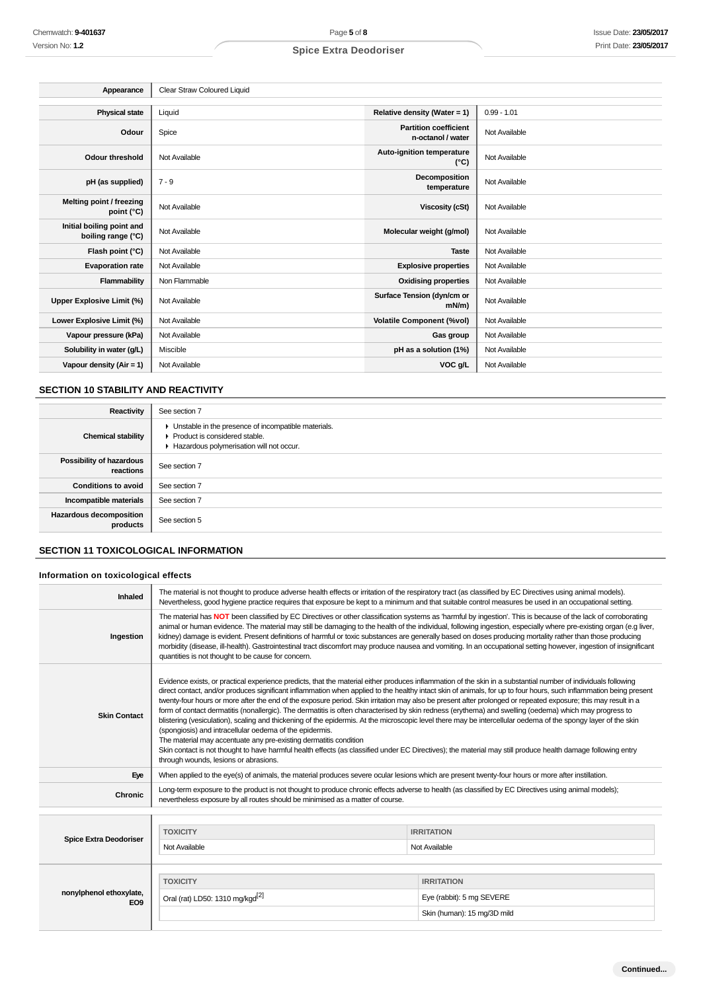| Appearance                                      | Clear Straw Coloured Liquid |                                                   |               |
|-------------------------------------------------|-----------------------------|---------------------------------------------------|---------------|
|                                                 |                             |                                                   |               |
| <b>Physical state</b>                           | Liquid                      | Relative density (Water = 1)                      | $0.99 - 1.01$ |
| Odour                                           | Spice                       | <b>Partition coefficient</b><br>n-octanol / water | Not Available |
| <b>Odour threshold</b>                          | Not Available               | Auto-ignition temperature<br>$(^{\circ}C)$        | Not Available |
| pH (as supplied)                                | $7 - 9$                     | Decomposition<br>temperature                      | Not Available |
| Melting point / freezing<br>point (°C)          | Not Available               | <b>Viscosity (cSt)</b>                            | Not Available |
| Initial boiling point and<br>boiling range (°C) | Not Available               | Molecular weight (g/mol)                          | Not Available |
| Flash point (°C)                                | Not Available               | <b>Taste</b>                                      | Not Available |
| <b>Evaporation rate</b>                         | Not Available               | <b>Explosive properties</b>                       | Not Available |
| Flammability                                    | Non Flammable               | <b>Oxidising properties</b>                       | Not Available |
| Upper Explosive Limit (%)                       | Not Available               | Surface Tension (dyn/cm or<br>$mN/m$ )            | Not Available |
| Lower Explosive Limit (%)                       | Not Available               | <b>Volatile Component (%vol)</b>                  | Not Available |
| Vapour pressure (kPa)                           | Not Available               | Gas group                                         | Not Available |
| Solubility in water (g/L)                       | Miscible                    | pH as a solution (1%)                             | Not Available |
| Vapour density (Air = 1)                        | Not Available               | VOC g/L                                           | Not Available |

## **SECTION 10 STABILITY AND REACTIVITY**

| Reactivity                                 | See section 7                                                                                                                        |
|--------------------------------------------|--------------------------------------------------------------------------------------------------------------------------------------|
| <b>Chemical stability</b>                  | • Unstable in the presence of incompatible materials.<br>▶ Product is considered stable.<br>Hazardous polymerisation will not occur. |
| Possibility of hazardous<br>reactions      | See section 7                                                                                                                        |
| <b>Conditions to avoid</b>                 | See section 7                                                                                                                        |
| Incompatible materials                     | See section 7                                                                                                                        |
| <b>Hazardous decomposition</b><br>products | See section 5                                                                                                                        |

## **SECTION 11 TOXICOLOGICAL INFORMATION**

### **Information on toxicological effects**

| Chemwatch: 9-401637                             | Page 5 of 8                                                                                                                                                                                                                                                                                                                                                                                                                                                                                                                                                                                                                                                                                                                                                                                                                                                                                                                                                                                                                                                                                                                                                                 |                                            | <b>Issue Date: 23/05/20</b> |
|-------------------------------------------------|-----------------------------------------------------------------------------------------------------------------------------------------------------------------------------------------------------------------------------------------------------------------------------------------------------------------------------------------------------------------------------------------------------------------------------------------------------------------------------------------------------------------------------------------------------------------------------------------------------------------------------------------------------------------------------------------------------------------------------------------------------------------------------------------------------------------------------------------------------------------------------------------------------------------------------------------------------------------------------------------------------------------------------------------------------------------------------------------------------------------------------------------------------------------------------|--------------------------------------------|-----------------------------|
| Version No: 1.2                                 | <b>Spice Extra Deodoriser</b>                                                                                                                                                                                                                                                                                                                                                                                                                                                                                                                                                                                                                                                                                                                                                                                                                                                                                                                                                                                                                                                                                                                                               |                                            | Print Date: 23/05/20        |
|                                                 |                                                                                                                                                                                                                                                                                                                                                                                                                                                                                                                                                                                                                                                                                                                                                                                                                                                                                                                                                                                                                                                                                                                                                                             |                                            |                             |
|                                                 |                                                                                                                                                                                                                                                                                                                                                                                                                                                                                                                                                                                                                                                                                                                                                                                                                                                                                                                                                                                                                                                                                                                                                                             |                                            |                             |
| Appearance                                      | Clear Straw Coloured Liquid                                                                                                                                                                                                                                                                                                                                                                                                                                                                                                                                                                                                                                                                                                                                                                                                                                                                                                                                                                                                                                                                                                                                                 |                                            |                             |
| <b>Physical state</b>                           | Liquid                                                                                                                                                                                                                                                                                                                                                                                                                                                                                                                                                                                                                                                                                                                                                                                                                                                                                                                                                                                                                                                                                                                                                                      | Relative density (Water = 1)               | $0.99 - 1.01$               |
|                                                 |                                                                                                                                                                                                                                                                                                                                                                                                                                                                                                                                                                                                                                                                                                                                                                                                                                                                                                                                                                                                                                                                                                                                                                             | <b>Partition coefficient</b>               |                             |
| Odour                                           | Spice                                                                                                                                                                                                                                                                                                                                                                                                                                                                                                                                                                                                                                                                                                                                                                                                                                                                                                                                                                                                                                                                                                                                                                       | n-octanol / water                          | Not Available               |
| <b>Odour threshold</b>                          | Not Available                                                                                                                                                                                                                                                                                                                                                                                                                                                                                                                                                                                                                                                                                                                                                                                                                                                                                                                                                                                                                                                                                                                                                               | Auto-ignition temperature<br>$(^{\circ}C)$ | Not Available               |
| pH (as supplied)                                | $7 - 9$                                                                                                                                                                                                                                                                                                                                                                                                                                                                                                                                                                                                                                                                                                                                                                                                                                                                                                                                                                                                                                                                                                                                                                     | Decomposition<br>temperature               | Not Available               |
| Melting point / freezing<br>point (°C)          | Not Available                                                                                                                                                                                                                                                                                                                                                                                                                                                                                                                                                                                                                                                                                                                                                                                                                                                                                                                                                                                                                                                                                                                                                               | <b>Viscosity (cSt)</b>                     | Not Available               |
| Initial boiling point and<br>boiling range (°C) | Not Available                                                                                                                                                                                                                                                                                                                                                                                                                                                                                                                                                                                                                                                                                                                                                                                                                                                                                                                                                                                                                                                                                                                                                               | Molecular weight (g/mol)                   | Not Available               |
| Flash point (°C)                                | Not Available                                                                                                                                                                                                                                                                                                                                                                                                                                                                                                                                                                                                                                                                                                                                                                                                                                                                                                                                                                                                                                                                                                                                                               | <b>Taste</b>                               | Not Available               |
| <b>Evaporation rate</b>                         | Not Available                                                                                                                                                                                                                                                                                                                                                                                                                                                                                                                                                                                                                                                                                                                                                                                                                                                                                                                                                                                                                                                                                                                                                               | <b>Explosive properties</b>                | Not Available               |
| Flammability                                    | Non Flammable                                                                                                                                                                                                                                                                                                                                                                                                                                                                                                                                                                                                                                                                                                                                                                                                                                                                                                                                                                                                                                                                                                                                                               | <b>Oxidising properties</b>                | Not Available               |
| Upper Explosive Limit (%)                       | Not Available                                                                                                                                                                                                                                                                                                                                                                                                                                                                                                                                                                                                                                                                                                                                                                                                                                                                                                                                                                                                                                                                                                                                                               | Surface Tension (dyn/cm or<br>mN/m)        | Not Available               |
| Lower Explosive Limit (%)                       | Not Available                                                                                                                                                                                                                                                                                                                                                                                                                                                                                                                                                                                                                                                                                                                                                                                                                                                                                                                                                                                                                                                                                                                                                               | <b>Volatile Component (%vol)</b>           | Not Available               |
| Vapour pressure (kPa)                           | Not Available                                                                                                                                                                                                                                                                                                                                                                                                                                                                                                                                                                                                                                                                                                                                                                                                                                                                                                                                                                                                                                                                                                                                                               | Gas group                                  | Not Available               |
| Solubility in water (g/L)                       | Miscible                                                                                                                                                                                                                                                                                                                                                                                                                                                                                                                                                                                                                                                                                                                                                                                                                                                                                                                                                                                                                                                                                                                                                                    | pH as a solution (1%)                      | Not Available               |
| Vapour density (Air = 1)                        | Not Available                                                                                                                                                                                                                                                                                                                                                                                                                                                                                                                                                                                                                                                                                                                                                                                                                                                                                                                                                                                                                                                                                                                                                               | VOC g/L                                    | Not Available               |
|                                                 |                                                                                                                                                                                                                                                                                                                                                                                                                                                                                                                                                                                                                                                                                                                                                                                                                                                                                                                                                                                                                                                                                                                                                                             |                                            |                             |
| <b>SECTION 10 STABILITY AND REACTIVITY</b>      |                                                                                                                                                                                                                                                                                                                                                                                                                                                                                                                                                                                                                                                                                                                                                                                                                                                                                                                                                                                                                                                                                                                                                                             |                                            |                             |
| Reactivity                                      | See section 7                                                                                                                                                                                                                                                                                                                                                                                                                                                                                                                                                                                                                                                                                                                                                                                                                                                                                                                                                                                                                                                                                                                                                               |                                            |                             |
| <b>Chemical stability</b>                       | • Unstable in the presence of incompatible materials.<br>Product is considered stable.<br>Hazardous polymerisation will not occur.                                                                                                                                                                                                                                                                                                                                                                                                                                                                                                                                                                                                                                                                                                                                                                                                                                                                                                                                                                                                                                          |                                            |                             |
| Possibility of hazardous<br>reactions           | See section 7                                                                                                                                                                                                                                                                                                                                                                                                                                                                                                                                                                                                                                                                                                                                                                                                                                                                                                                                                                                                                                                                                                                                                               |                                            |                             |
| <b>Conditions to avoid</b>                      | See section 7                                                                                                                                                                                                                                                                                                                                                                                                                                                                                                                                                                                                                                                                                                                                                                                                                                                                                                                                                                                                                                                                                                                                                               |                                            |                             |
| Incompatible materials                          | See section 7                                                                                                                                                                                                                                                                                                                                                                                                                                                                                                                                                                                                                                                                                                                                                                                                                                                                                                                                                                                                                                                                                                                                                               |                                            |                             |
| Hazardous decomposition<br>products             | See section 5                                                                                                                                                                                                                                                                                                                                                                                                                                                                                                                                                                                                                                                                                                                                                                                                                                                                                                                                                                                                                                                                                                                                                               |                                            |                             |
| <b>SECTION 11 TOXICOLOGICAL INFORMATION</b>     |                                                                                                                                                                                                                                                                                                                                                                                                                                                                                                                                                                                                                                                                                                                                                                                                                                                                                                                                                                                                                                                                                                                                                                             |                                            |                             |
| Information on toxicological effects            |                                                                                                                                                                                                                                                                                                                                                                                                                                                                                                                                                                                                                                                                                                                                                                                                                                                                                                                                                                                                                                                                                                                                                                             |                                            |                             |
| Inhaled                                         | The material is not thought to produce adverse health effects or irritation of the respiratory tract (as classified by EC Directives using animal models).                                                                                                                                                                                                                                                                                                                                                                                                                                                                                                                                                                                                                                                                                                                                                                                                                                                                                                                                                                                                                  |                                            |                             |
|                                                 | Nevertheless, good hygiene practice requires that exposure be kept to a minimum and that suitable control measures be used in an occupational setting.                                                                                                                                                                                                                                                                                                                                                                                                                                                                                                                                                                                                                                                                                                                                                                                                                                                                                                                                                                                                                      |                                            |                             |
| Ingestion                                       | The material has NOT been classified by EC Directives or other classification systems as 'harmful by ingestion'. This is because of the lack of corroborating<br>animal or human evidence. The material may still be damaging to the health of the individual, following ingestion, especially where pre-existing organ (e.g liver,<br>kidney) damage is evident. Present definitions of harmful or toxic substances are generally based on doses producing mortality rather than those producing<br>morbidity (disease, ill-health). Gastrointestinal tract discomfort may produce nausea and vomiting. In an occupational setting however, ingestion of insignificant<br>quantities is not thought to be cause for concern.                                                                                                                                                                                                                                                                                                                                                                                                                                               |                                            |                             |
| <b>Skin Contact</b>                             | Evidence exists, or practical experience predicts, that the material either produces inflammation of the skin in a substantial number of individuals following<br>direct contact, and/or produces significant inflammation when applied to the healthy intact skin of animals, for up to four hours, such inflammation being present<br>twenty-four hours or more after the end of the exposure period. Skin irritation may also be present after prolonged or repeated exposure; this may result in a<br>form of contact dermatitis (nonallergic). The dermatitis is often characterised by skin redness (erythema) and swelling (oedema) which may progress to<br>blistering (vesiculation), scaling and thickening of the epidermis. At the microscopic level there may be intercellular oedema of the spongy layer of the skin<br>(spongiosis) and intracellular oedema of the epidermis.<br>The material may accentuate any pre-existing dermatitis condition<br>Skin contact is not thought to have harmful health effects (as classified under EC Directives); the material may still produce health damage following entry<br>through wounds, lesions or abrasions. |                                            |                             |
| Eye                                             | When applied to the eye(s) of animals, the material produces severe ocular lesions which are present twenty-four hours or more after instillation.                                                                                                                                                                                                                                                                                                                                                                                                                                                                                                                                                                                                                                                                                                                                                                                                                                                                                                                                                                                                                          |                                            |                             |
| Chronic                                         | Long-term exposure to the product is not thought to produce chronic effects adverse to health (as classified by EC Directives using animal models);<br>nevertheless exposure by all routes should be minimised as a matter of course.                                                                                                                                                                                                                                                                                                                                                                                                                                                                                                                                                                                                                                                                                                                                                                                                                                                                                                                                       |                                            |                             |
|                                                 |                                                                                                                                                                                                                                                                                                                                                                                                                                                                                                                                                                                                                                                                                                                                                                                                                                                                                                                                                                                                                                                                                                                                                                             |                                            |                             |
|                                                 | <b>TOXICITY</b>                                                                                                                                                                                                                                                                                                                                                                                                                                                                                                                                                                                                                                                                                                                                                                                                                                                                                                                                                                                                                                                                                                                                                             | <b>IRRITATION</b>                          |                             |
| <b>Spice Extra Deodoriser</b>                   | Not Available                                                                                                                                                                                                                                                                                                                                                                                                                                                                                                                                                                                                                                                                                                                                                                                                                                                                                                                                                                                                                                                                                                                                                               | Not Available                              |                             |
|                                                 |                                                                                                                                                                                                                                                                                                                                                                                                                                                                                                                                                                                                                                                                                                                                                                                                                                                                                                                                                                                                                                                                                                                                                                             |                                            |                             |
|                                                 | <b>TOXICITY</b>                                                                                                                                                                                                                                                                                                                                                                                                                                                                                                                                                                                                                                                                                                                                                                                                                                                                                                                                                                                                                                                                                                                                                             | <b>IRRITATION</b>                          |                             |
| nonylphenol ethoxylate,                         | Oral (rat) LD50: 1310 mg/kgd <sup>[2]</sup>                                                                                                                                                                                                                                                                                                                                                                                                                                                                                                                                                                                                                                                                                                                                                                                                                                                                                                                                                                                                                                                                                                                                 | Eye (rabbit): 5 mg SEVERE                  |                             |
| EO <sub>9</sub>                                 |                                                                                                                                                                                                                                                                                                                                                                                                                                                                                                                                                                                                                                                                                                                                                                                                                                                                                                                                                                                                                                                                                                                                                                             |                                            |                             |
|                                                 |                                                                                                                                                                                                                                                                                                                                                                                                                                                                                                                                                                                                                                                                                                                                                                                                                                                                                                                                                                                                                                                                                                                                                                             | Skin (human): 15 mg/3D mild                |                             |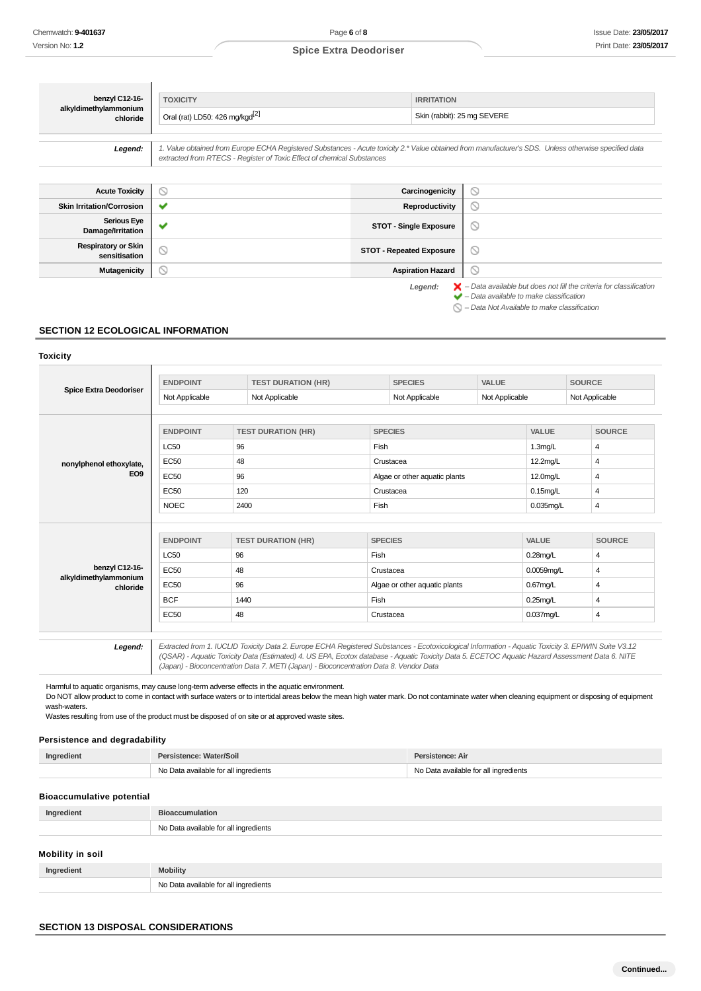Legend:  $\blacktriangleright$  - Data available but does not fill the criteria for classification<br>  $\blacktriangleright$  - Data available to make classification  $\bigcirc$  – Data Not Available to make classification

## **Spice Extra Deodoriser**

| benzyl C12-16-                              | <b>TOXICITY</b>                                                        | <b>IRRITATION</b>               |                                                                                                                                                       |
|---------------------------------------------|------------------------------------------------------------------------|---------------------------------|-------------------------------------------------------------------------------------------------------------------------------------------------------|
| alkyldimethylammonium<br>chloride           | Oral (rat) LD50: 426 mg/kgd <sup>[2]</sup>                             |                                 | Skin (rabbit): 25 mg SEVERE                                                                                                                           |
| Legend:                                     | extracted from RTECS - Register of Toxic Effect of chemical Substances |                                 | 1. Value obtained from Europe ECHA Registered Substances - Acute toxicity 2.* Value obtained from manufacturer's SDS. Unless otherwise specified data |
| <b>Acute Toxicity</b>                       | Q                                                                      | Carcinogenicity                 | $\circ$                                                                                                                                               |
| <b>Skin Irritation/Corrosion</b>            | ✔                                                                      | <b>Reproductivity</b>           | $\circ$                                                                                                                                               |
| <b>Serious Eye</b><br>Damage/Irritation     | $\checkmark$                                                           | <b>STOT - Single Exposure</b>   | $\circledcirc$                                                                                                                                        |
| <b>Respiratory or Skin</b><br>sensitisation | $\circledcirc$                                                         | <b>STOT - Repeated Exposure</b> | $\circ$                                                                                                                                               |
| <b>Mutagenicity</b>                         | Q                                                                      | <b>Aspiration Hazard</b>        | $\circ$                                                                                                                                               |

## **SECTION 12 ECOLOGICAL INFORMATION**

#### **Toxicity**

| <b>Spice Extra Deodoriser</b>              | <b>ENDPOINT</b> | <b>TEST DURATION (HR)</b> |                | <b>SPECIES</b>                | VALUE          |                     | <b>SOURCE</b>  |  |
|--------------------------------------------|-----------------|---------------------------|----------------|-------------------------------|----------------|---------------------|----------------|--|
|                                            | Not Applicable  | Not Applicable            |                | Not Applicable                | Not Applicable |                     | Not Applicable |  |
|                                            | <b>ENDPOINT</b> | <b>TEST DURATION (HR)</b> | <b>SPECIES</b> |                               |                | <b>VALUE</b>        | <b>SOURCE</b>  |  |
|                                            | <b>LC50</b>     | 96                        | Fish           |                               |                | 1.3 <sub>mg/L</sub> | 4              |  |
|                                            | EC50            | 48                        | Crustacea      |                               |                |                     | 4              |  |
| nonylphenol ethoxylate,<br>EO <sub>9</sub> | <b>EC50</b>     |                           |                |                               |                | 12.2mg/L            |                |  |
|                                            |                 | 96                        |                | Algae or other aquatic plants |                | 12.0mg/L            | 4              |  |
|                                            | <b>EC50</b>     | 120                       |                | Crustacea                     |                | $0.15$ mg/L         | 4              |  |
|                                            | <b>NOEC</b>     | 2400                      |                | Fish                          |                | $0.035$ mg/L        | 4              |  |
|                                            |                 |                           |                |                               |                |                     |                |  |
|                                            | <b>ENDPOINT</b> | <b>TEST DURATION (HR)</b> | <b>SPECIES</b> |                               |                | <b>VALUE</b>        | <b>SOURCE</b>  |  |
|                                            | <b>LC50</b>     | 96                        | Fish           |                               |                | $0.28$ mg/L         | 4              |  |
| benzyl C12-16-                             | <b>EC50</b>     | 48                        |                | Crustacea                     |                | $0.0059$ mq/L       | 4              |  |
| alkyldimethylammonium<br>chloride          | <b>EC50</b>     | 96                        |                | Algae or other aquatic plants |                | $0.67$ mg/L         | 4              |  |
|                                            | <b>BCF</b>      | 1440                      | Fish           |                               |                | $0.25$ mg/L         | 4              |  |
|                                            | <b>EC50</b>     | 48                        |                | Crustacea                     |                | $0.037$ mg/L        | 4              |  |
|                                            |                 |                           |                |                               |                |                     |                |  |
|                                            |                 |                           |                |                               |                |                     |                |  |

Harmful to aquatic organisms, may cause long-term adverse effects in the aquatic environment. Do NOT allow product to come in contact with surface waters or to intertidal areas below the mean high water mark. Do not contaminate water when cleaning equipment or disposing of equipment wash-waters.

Wastes resulting from use of the product must be disposed of on site or at approved waste sites.

## **Persistence and degradability**

| Ingredient | Persistence: Water/Soil               | Persistence: Air                      |
|------------|---------------------------------------|---------------------------------------|
|            | No Data available for all ingredients | No Data available for all ingredients |

### **Bioaccumulative potential**

| Ingredient | <b>Bioaccumulation</b>                |
|------------|---------------------------------------|
|            | No Data available for all ingredients |
|            |                                       |

## **Mobility in soil**

| ıbilitv |
|---------|
| <br>N1  |

### **SECTION 13 DISPOSAL CONSIDERATIONS**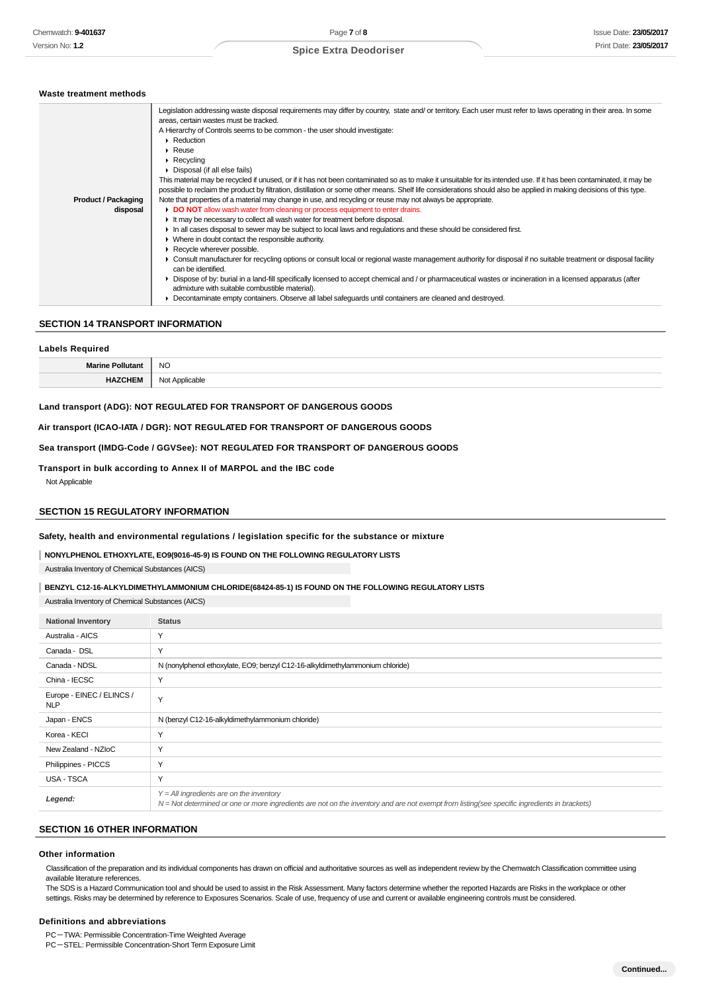#### **Waste treatment methods**

| <b>Product / Packaging</b><br>disposal | Legislation addressing waste disposal requirements may differ by country, state and/or territory. Each user must refer to laws operating in their area. In some<br>areas, certain wastes must be tracked.<br>A Hierarchy of Controls seems to be common - the user should investigate:<br>$\triangleright$ Reduction<br>Reuse<br>$\triangleright$ Recycling<br>• Disposal (if all else fails)<br>This material may be recycled if unused, or if it has not been contaminated so as to make it unsuitable for its intended use. If it has been contaminated, it may be<br>possible to reclaim the product by filtration, distillation or some other means. Shelf life considerations should also be applied in making decisions of this type.<br>Note that properties of a material may change in use, and recycling or reuse may not always be appropriate.<br>DO NOT allow wash water from cleaning or process equipment to enter drains.<br>If the may be necessary to collect all wash water for treatment before disposal.<br>In all cases disposal to sewer may be subject to local laws and regulations and these should be considered first.<br>$\blacktriangleright$ Where in doubt contact the responsible authority.<br>$\triangleright$ Recycle wherever possible.<br>• Consult manufacturer for recycling options or consult local or regional waste management authority for disposal if no suitable treatment or disposal facility<br>can be identified.<br>• Dispose of by: burial in a land-fill specifically licensed to accept chemical and / or pharmaceutical wastes or incineration in a licensed apparatus (after |
|----------------------------------------|-----------------------------------------------------------------------------------------------------------------------------------------------------------------------------------------------------------------------------------------------------------------------------------------------------------------------------------------------------------------------------------------------------------------------------------------------------------------------------------------------------------------------------------------------------------------------------------------------------------------------------------------------------------------------------------------------------------------------------------------------------------------------------------------------------------------------------------------------------------------------------------------------------------------------------------------------------------------------------------------------------------------------------------------------------------------------------------------------------------------------------------------------------------------------------------------------------------------------------------------------------------------------------------------------------------------------------------------------------------------------------------------------------------------------------------------------------------------------------------------------------------------------------------------------------------------------------------------------------------------------------------------|
|                                        | admixture with suitable combustible material).<br>Decontaminate empty containers. Observe all label safeguards until containers are cleaned and destroyed.                                                                                                                                                                                                                                                                                                                                                                                                                                                                                                                                                                                                                                                                                                                                                                                                                                                                                                                                                                                                                                                                                                                                                                                                                                                                                                                                                                                                                                                                              |
|                                        |                                                                                                                                                                                                                                                                                                                                                                                                                                                                                                                                                                                                                                                                                                                                                                                                                                                                                                                                                                                                                                                                                                                                                                                                                                                                                                                                                                                                                                                                                                                                                                                                                                         |

## **SECTION 14 TRANSPORT INFORMATION**

| Labels Required         |                     |  |
|-------------------------|---------------------|--|
| <b>Marine Pollutant</b> | <b>NO</b><br>$\sim$ |  |
| <b>HAZCHEM</b>          | Applicable<br>IVU   |  |

### **Land transport (ADG): NOT REGULATED FOR TRANSPORT OF DANGEROUS GOODS**

### **Air transport (ICAO-IATA / DGR): NOT REGULATED FOR TRANSPORT OF DANGEROUS GOODS**

**Sea transport (IMDG-Code / GGVSee): NOT REGULATED FOR TRANSPORT OF DANGEROUS GOODS**

## **Transport in bulk according to Annex II of MARPOL and the IBC code**

Not Applicable

#### **SECTION 15 REGULATORY INFORMATION**

**Safety, health and environmental regulations / legislation specific for the substance or mixture**

#### **NONYLPHENOL ETHOXYLATE, EO9(9016-45-9) IS FOUND ON THE FOLLOWING REGULATORY LISTS**

Australia Inventory of Chemical Substances (AICS)

#### **BENZYL C12-16-ALKYLDIMETHYLAMMONIUM CHLORIDE(68424-85-1) IS FOUND ON THE FOLLOWING REGULATORY LISTS**

Australia Inventory of Chemical Substances (AICS)

| <b>National Inventory</b>               | <b>Status</b>                                                                                                                                                                                |
|-----------------------------------------|----------------------------------------------------------------------------------------------------------------------------------------------------------------------------------------------|
| Australia - AICS                        | Y                                                                                                                                                                                            |
| Canada - DSL                            | Y                                                                                                                                                                                            |
| Canada - NDSL                           | N (nonylphenol ethoxylate, EO9; benzyl C12-16-alkyldimethylammonium chloride)                                                                                                                |
| China - IECSC                           | Y                                                                                                                                                                                            |
| Europe - EINEC / ELINCS /<br><b>NLP</b> | Y                                                                                                                                                                                            |
| Japan - ENCS                            | N (benzyl C12-16-alkyldimethylammonium chloride)                                                                                                                                             |
| Korea - KECI                            | Y                                                                                                                                                                                            |
| New Zealand - NZIoC                     | Y                                                                                                                                                                                            |
| Philippines - PICCS                     | Υ                                                                                                                                                                                            |
| USA - TSCA                              | Y                                                                                                                                                                                            |
| Legend:                                 | $Y = All$ ingredients are on the inventory<br>$N = Not$ determined or one or more ingredients are not on the inventory and are not exempt from listing(see specific ingredients in brackets) |

## **SECTION 16 OTHER INFORMATION**

#### **Other information**

Classification of the preparation and its individual components has drawn on official and authoritative sources as well as independent review by the Chemwatch Classification committee using available literature references.

The SDS is a Hazard Communication tool and should be used to assist in the Risk Assessment. Many factors determine whether the reported Hazards are Risks in the workplace or other settings. Risks may be determined by reference to Exposures Scenarios. Scale of use, frequency of use and current or available engineering controls must be considered.

#### **Definitions and abbreviations**

PC-TWA: Permissible Concentration-Time Weighted Average

PC-STEL: Permissible Concentration-Short Term Exposure Limit